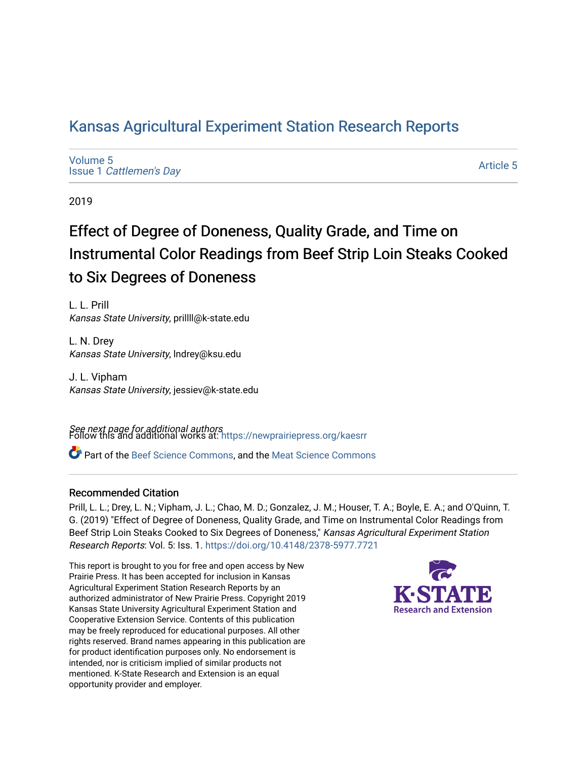# [Kansas Agricultural Experiment Station Research Reports](https://newprairiepress.org/kaesrr)

[Volume 5](https://newprairiepress.org/kaesrr/vol5) Issue 1 [Cattlemen's Day](https://newprairiepress.org/kaesrr/vol5/iss1) 

[Article 5](https://newprairiepress.org/kaesrr/vol5/iss1/5) 

2019

# Effect of Degree of Doneness, Quality Grade, and Time on Instrumental Color Readings from Beef Strip Loin Steaks Cooked to Six Degrees of Doneness

L. L. Prill Kansas State University, prillll@k-state.edu

L. N. Drey Kansas State University, lndrey@ksu.edu

J. L. Vipham Kansas State University, jessiev@k-state.edu

**See next page for additional authors**<br>Follow this and additional works at: https://newprairiepress.org/kaesrr

Part of the [Beef Science Commons,](http://network.bepress.com/hgg/discipline/1404?utm_source=newprairiepress.org%2Fkaesrr%2Fvol5%2Fiss1%2F5&utm_medium=PDF&utm_campaign=PDFCoverPages) and the [Meat Science Commons](http://network.bepress.com/hgg/discipline/1301?utm_source=newprairiepress.org%2Fkaesrr%2Fvol5%2Fiss1%2F5&utm_medium=PDF&utm_campaign=PDFCoverPages)

### Recommended Citation

Prill, L. L.; Drey, L. N.; Vipham, J. L.; Chao, M. D.; Gonzalez, J. M.; Houser, T. A.; Boyle, E. A.; and O'Quinn, T. G. (2019) "Effect of Degree of Doneness, Quality Grade, and Time on Instrumental Color Readings from Beef Strip Loin Steaks Cooked to Six Degrees of Doneness," Kansas Agricultural Experiment Station Research Reports: Vol. 5: Iss. 1.<https://doi.org/10.4148/2378-5977.7721>

This report is brought to you for free and open access by New Prairie Press. It has been accepted for inclusion in Kansas Agricultural Experiment Station Research Reports by an authorized administrator of New Prairie Press. Copyright 2019 Kansas State University Agricultural Experiment Station and Cooperative Extension Service. Contents of this publication may be freely reproduced for educational purposes. All other rights reserved. Brand names appearing in this publication are for product identification purposes only. No endorsement is intended, nor is criticism implied of similar products not mentioned. K-State Research and Extension is an equal opportunity provider and employer.

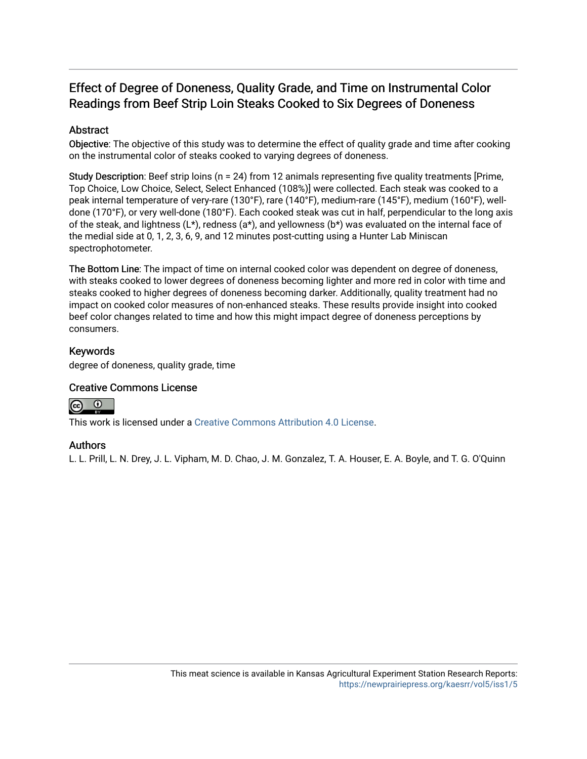# Effect of Degree of Doneness, Quality Grade, and Time on Instrumental Color Readings from Beef Strip Loin Steaks Cooked to Six Degrees of Doneness

### Abstract

Objective: The objective of this study was to determine the effect of quality grade and time after cooking on the instrumental color of steaks cooked to varying degrees of doneness.

Study Description: Beef strip loins (n = 24) from 12 animals representing five quality treatments [Prime, Top Choice, Low Choice, Select, Select Enhanced (108%)] were collected. Each steak was cooked to a peak internal temperature of very-rare (130°F), rare (140°F), medium-rare (145°F), medium (160°F), welldone (170°F), or very well-done (180°F). Each cooked steak was cut in half, perpendicular to the long axis of the steak, and lightness ( $L^*$ ), redness ( $a^*$ ), and yellowness ( $b^*$ ) was evaluated on the internal face of the medial side at 0, 1, 2, 3, 6, 9, and 12 minutes post-cutting using a Hunter Lab Miniscan spectrophotometer.

The Bottom Line: The impact of time on internal cooked color was dependent on degree of doneness, with steaks cooked to lower degrees of doneness becoming lighter and more red in color with time and steaks cooked to higher degrees of doneness becoming darker. Additionally, quality treatment had no impact on cooked color measures of non-enhanced steaks. These results provide insight into cooked beef color changes related to time and how this might impact degree of doneness perceptions by consumers.

### Keywords

degree of doneness, quality grade, time

### Creative Commons License



This work is licensed under a [Creative Commons Attribution 4.0 License](https://creativecommons.org/licenses/by/4.0/).

### Authors

L. L. Prill, L. N. Drey, J. L. Vipham, M. D. Chao, J. M. Gonzalez, T. A. Houser, E. A. Boyle, and T. G. O'Quinn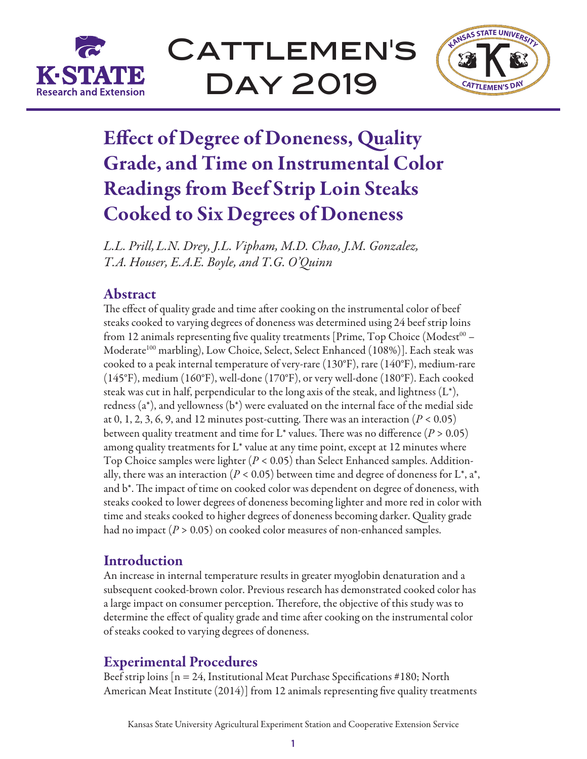

CATTLEMEN'S Day 2019



# Effect of Degree of Doneness, Quality Grade, and Time on Instrumental Color Readings from Beef Strip Loin Steaks Cooked to Six Degrees of Doneness

*L.L. Prill,L.N. Drey, J.L. Vipham, M.D. Chao, J.M. Gonzalez, T.A. Houser, E.A.E. Boyle, and T.G. O'Quinn*

# Abstract

The effect of quality grade and time after cooking on the instrumental color of beef steaks cooked to varying degrees of doneness was determined using 24 beef strip loins from 12 animals representing five quality treatments [Prime, Top Choice (Modest $00 -$ Moderate<sup>100</sup> marbling), Low Choice, Select, Select Enhanced (108%)]. Each steak was cooked to a peak internal temperature of very-rare (130°F), rare (140°F), medium-rare (145°F), medium (160°F), well-done (170°F), or very well-done (180°F). Each cooked steak was cut in half, perpendicular to the long axis of the steak, and lightness  $(L^*),$ redness (a\*), and yellowness (b\*) were evaluated on the internal face of the medial side at 0, 1, 2, 3, 6, 9, and 12 minutes post-cutting. There was an interaction  $(P < 0.05)$ between quality treatment and time for  $L^*$  values. There was no difference ( $P > 0.05$ ) among quality treatments for  $L^*$  value at any time point, except at 12 minutes where Top Choice samples were lighter (*P* < 0.05) than Select Enhanced samples. Additionally, there was an interaction ( $P < 0.05$ ) between time and degree of doneness for L<sup>\*</sup>, a<sup>\*</sup>, and b\*. The impact of time on cooked color was dependent on degree of doneness, with steaks cooked to lower degrees of doneness becoming lighter and more red in color with time and steaks cooked to higher degrees of doneness becoming darker. Quality grade had no impact (*P* > 0.05) on cooked color measures of non-enhanced samples.

# **Introduction**

An increase in internal temperature results in greater myoglobin denaturation and a subsequent cooked-brown color. Previous research has demonstrated cooked color has a large impact on consumer perception. Therefore, the objective of this study was to determine the effect of quality grade and time after cooking on the instrumental color of steaks cooked to varying degrees of doneness.

## Experimental Procedures

Beef strip loins  $[n = 24]$ , Institutional Meat Purchase Specifications #180; North American Meat Institute (2014)] from 12 animals representing five quality treatments

Kansas State University Agricultural Experiment Station and Cooperative Extension Service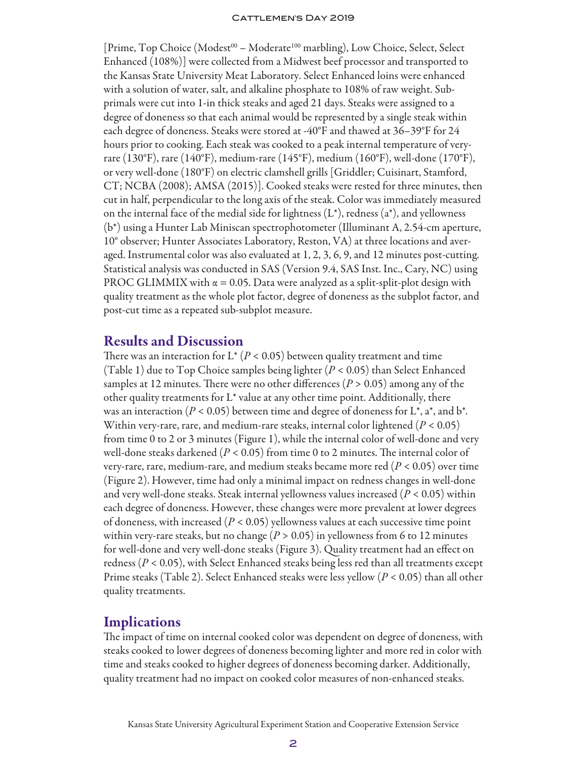[Prime, Top Choice (Modest<sup>00</sup> – Moderate<sup>100</sup> marbling), Low Choice, Select, Select Enhanced (108%)] were collected from a Midwest beef processor and transported to the Kansas State University Meat Laboratory. Select Enhanced loins were enhanced with a solution of water, salt, and alkaline phosphate to 108% of raw weight. Subprimals were cut into 1-in thick steaks and aged 21 days. Steaks were assigned to a degree of doneness so that each animal would be represented by a single steak within each degree of doneness. Steaks were stored at -40°F and thawed at 36–39°F for 24 hours prior to cooking. Each steak was cooked to a peak internal temperature of veryrare (130°F), rare (140°F), medium-rare (145°F), medium (160°F), well-done (170°F), or very well-done (180°F) on electric clamshell grills [Griddler; Cuisinart, Stamford, CT; NCBA (2008); AMSA (2015)]. Cooked steaks were rested for three minutes, then cut in half, perpendicular to the long axis of the steak. Color was immediately measured on the internal face of the medial side for lightness  $(L^*)$ , redness  $(a^*)$ , and yellowness (b\*) using a Hunter Lab Miniscan spectrophotometer (Illuminant A, 2.54-cm aperture, 10° observer; Hunter Associates Laboratory, Reston, VA) at three locations and averaged. Instrumental color was also evaluated at 1, 2, 3, 6, 9, and 12 minutes post-cutting. Statistical analysis was conducted in SAS (Version 9.4, SAS Inst. Inc., Cary, NC) using PROC GLIMMIX with  $\alpha = 0.05$ . Data were analyzed as a split-split-plot design with quality treatment as the whole plot factor, degree of doneness as the subplot factor, and post-cut time as a repeated sub-subplot measure.

### Results and Discussion

There was an interaction for  $L^*$  ( $P < 0.05$ ) between quality treatment and time (Table 1) due to Top Choice samples being lighter (*P* < 0.05) than Select Enhanced samples at 12 minutes. There were no other differences (*P* > 0.05) among any of the other quality treatments for  $L^*$  value at any other time point. Additionally, there was an interaction ( $P < 0.05$ ) between time and degree of doneness for L<sup>\*</sup>, a<sup>\*</sup>, and b<sup>\*</sup>. Within very-rare, rare, and medium-rare steaks, internal color lightened (*P* < 0.05) from time 0 to 2 or 3 minutes (Figure 1), while the internal color of well-done and very well-done steaks darkened  $(P < 0.05)$  from time 0 to 2 minutes. The internal color of very-rare, rare, medium-rare, and medium steaks became more red (*P* < 0.05) over time (Figure 2). However, time had only a minimal impact on redness changes in well-done and very well-done steaks. Steak internal yellowness values increased (*P* < 0.05) within each degree of doneness. However, these changes were more prevalent at lower degrees of doneness, with increased (*P* < 0.05) yellowness values at each successive time point within very-rare steaks, but no change ( $P > 0.05$ ) in yellowness from 6 to 12 minutes for well-done and very well-done steaks (Figure 3). Quality treatment had an effect on redness (*P* < 0.05), with Select Enhanced steaks being less red than all treatments except Prime steaks (Table 2). Select Enhanced steaks were less yellow (*P* < 0.05) than all other quality treatments.

### Implications

The impact of time on internal cooked color was dependent on degree of doneness, with steaks cooked to lower degrees of doneness becoming lighter and more red in color with time and steaks cooked to higher degrees of doneness becoming darker. Additionally, quality treatment had no impact on cooked color measures of non-enhanced steaks.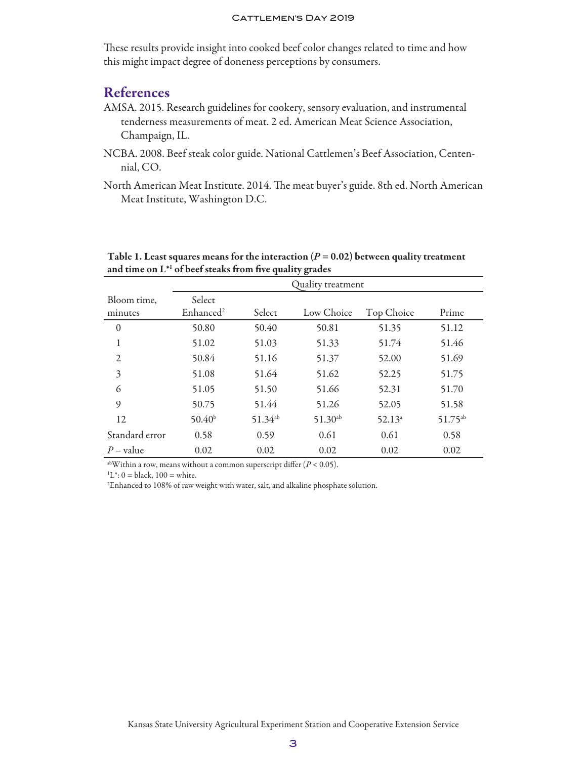These results provide insight into cooked beef color changes related to time and how this might impact degree of doneness perceptions by consumers.

### References

- AMSA. 2015. Research guidelines for cookery, sensory evaluation, and instrumental tenderness measurements of meat. 2 ed. American Meat Science Association, Champaign, IL.
- NCBA. 2008. Beef steak color guide. National Cattlemen's Beef Association, Centennial, CO.
- North American Meat Institute. 2014. The meat buyer's guide. 8th ed. North American Meat Institute, Washington D.C.

|                  | Quality treatment     |              |              |            |              |
|------------------|-----------------------|--------------|--------------|------------|--------------|
| Bloom time,      | Select                |              |              |            |              |
| minutes          | Enhanced <sup>2</sup> | Select       | Low Choice   | Top Choice | Prime        |
| $\boldsymbol{0}$ | 50.80                 | 50.40        | 50.81        | 51.35      | 51.12        |
| 1                | 51.02                 | 51.03        | 51.33        | 51.74      | 51.46        |
| 2                | 50.84                 | 51.16        | 51.37        | 52.00      | 51.69        |
| 3                | 51.08                 | 51.64        | 51.62        | 52.25      | 51.75        |
| 6                | 51.05                 | 51.50        | 51.66        | 52.31      | 51.70        |
| 9                | 50.75                 | 51.44        | 51.26        | 52.05      | 51.58        |
| 12               | 50.40 <sup>b</sup>    | $51.34^{ab}$ | $51.30^{ab}$ | $52.13^a$  | $51.75^{ab}$ |
| Standard error   | 0.58                  | 0.59         | 0.61         | 0.61       | 0.58         |
| $P$ – value      | 0.02                  | 0.02         | 0.02         | 0.02       | 0.02         |

Table 1. Least squares means for the interaction  $(P = 0.02)$  between quality treatment and time on L\*1 of beef steaks from five quality grades

<sup>ab</sup>Within a row, means without a common superscript differ  $(P < 0.05)$ .

 ${}^{1}L^{*}$ : 0 = black, 100 = white.

 $^{2}$ Enhanced to 108% of raw weight with water, salt, and alkaline phosphate solution.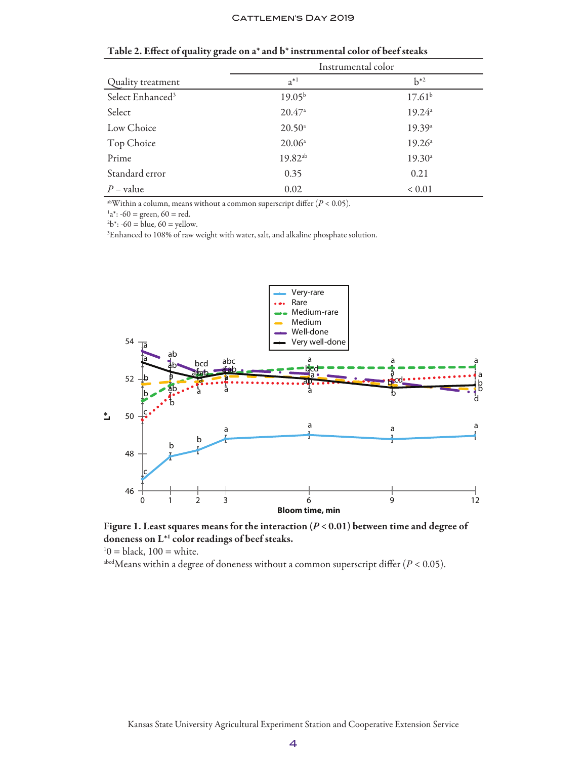|                              | Instrumental color  |                    |  |
|------------------------------|---------------------|--------------------|--|
| Quality treatment            | $a^{*1}$            | $h^{*2}$           |  |
| Select Enhanced <sup>3</sup> | $19.05^{b}$         | 17.61 <sup>b</sup> |  |
| Select                       | 20.47a              | 19.24a             |  |
| Low Choice                   | $20.50^{\circ}$     | 19.39a             |  |
| Top Choice                   | $20.06^{\circ}$     | $19.26^{\circ}$    |  |
| Prime                        | 19.82 <sup>ab</sup> | $19.30^{\circ}$    |  |
| Standard error               | 0.35                | 0.21               |  |
| $P$ – value                  | 0.02                | ${}< 0.01$         |  |

#### Table 2. Effect of quality grade on a\* and b\* instrumental color of beef steaks

abWithin a column, means without a common superscript differ (*P* < 0.05).

 $a^*$ : -60 = green, 60 = red.

 $b^*$ : -60 = blue, 60 = yellow.

3 Enhanced to 108% of raw weight with water, salt, and alkaline phosphate solution.



Figure 1. Least squares means for the interaction (*P* < 0.01) between time and degree of doneness on L\*1 color readings of beef steaks.

 $10 = \text{black}, 100 = \text{white}.$ 

abcd Means within a degree of doneness without a common superscript differ  $(P < 0.05)$ .